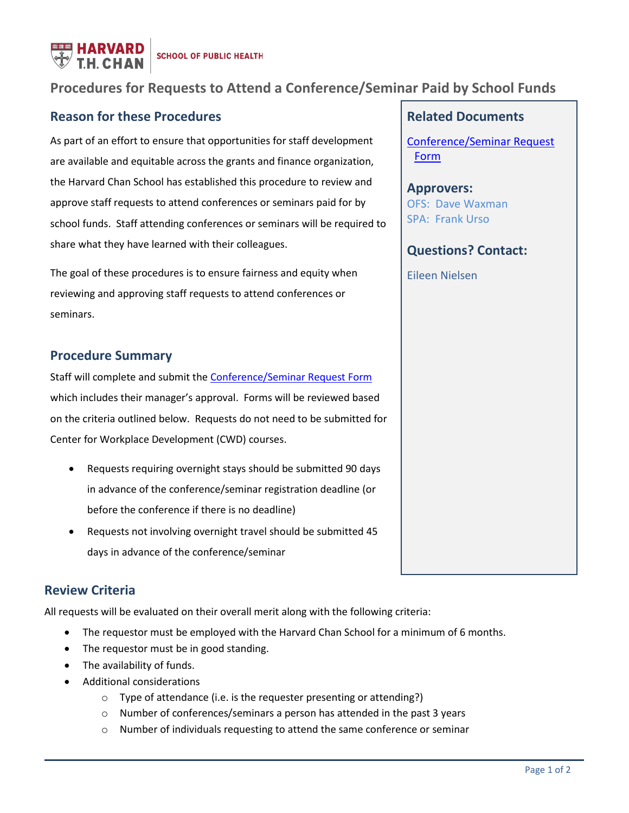

# **Procedures for Requests to Attend a Conference/Seminar Paid by School Funds**

## **Reason for these Procedures**

As part of an effort to ensure that opportunities for staff development are available and equitable across the grants and finance organization, the Harvard Chan School has established this procedure to review and approve staff requests to attend conferences or seminars paid for by school funds. Staff attending conferences or seminars will be required to share what they have learned with their colleagues.

The goal of these procedures is to ensure fairness and equity when reviewing and approving staff requests to attend conferences or seminars.

## **Procedure Summary**

Staff will complete and submit the [Conference/Seminar Request Form](https://form.jotform.com/92095952720966) which includes their manager's approval. Forms will be reviewed based on the criteria outlined below. Requests do not need to be submitted for Center for Workplace Development (CWD) courses.

- Requests requiring overnight stays should be submitted 90 days in advance of the conference/seminar registration deadline (or before the conference if there is no deadline)
- Requests not involving overnight travel should be submitted 45 days in advance of the conference/seminar

## **Review Criteria**

All requests will be evaluated on their overall merit along with the following criteria:

- The requestor must be employed with the Harvard Chan School for a minimum of 6 months.
- The requestor must be in good standing.
- The availability of funds.
- Additional considerations
	- o Type of attendance (i.e. is the requester presenting or attending?)
	- o Number of conferences/seminars a person has attended in the past 3 years
	- o Number of individuals requesting to attend the same conference or seminar

#### **Related Documents**

[Conference/Seminar Request](https://form.jotform.com/92095952720966)  [Form](https://form.jotform.com/92095952720966)

**Approvers:** OFS: Dave Waxman SPA: Frank Urso

#### **Questions? Contact:**

Eileen Nielsen